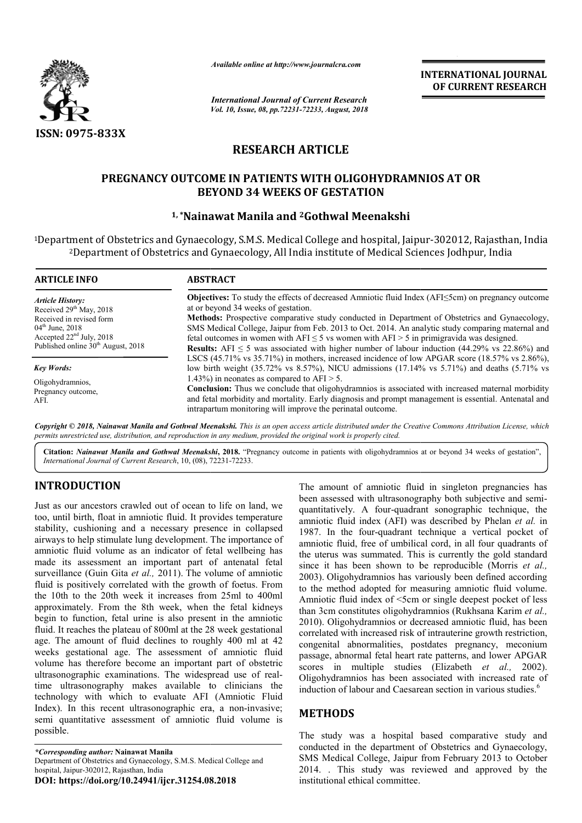

*Available online at http://www.journalcra.com*

*International Journal of Current Research Vol. 10, Issue, 08, pp.72231-72233, August, 2018* **INTERNATIONAL JOURNAL OF CURRENT RESEARCH**

# **RESEARCH ARTICLE**

## **PREGNANCY OUTCOME IN PATIENTS WITH OLIGOHYDRAMNIOS AT OR PREGNANCY OUTCOME BEYOND 34 WEEKS OF GESTATION**

## **1, \*Nainawat Nainawat Manila and 2Gothwal Meenakshi**

<sup>1</sup>Department of Obstetrics and Gynaecology, S.M.S. Medical College and hospital, Jaipur-302012, Rajasthan, India <sup>2</sup>Department of Obstetrics and Gynaecology, All India institute of Medical Sciences Jodhpur, India

| <b>ARTICLE INFO</b>                                                                                         | <b>ABSTRACT</b>                                                                                                                                                                                                                                                                                                                 |  |  |  |  |  |  |
|-------------------------------------------------------------------------------------------------------------|---------------------------------------------------------------------------------------------------------------------------------------------------------------------------------------------------------------------------------------------------------------------------------------------------------------------------------|--|--|--|--|--|--|
| <b>Article History:</b><br>Received 29 <sup>th</sup> May, 2018<br>Received in revised form                  | <b>Objectives:</b> To study the effects of decreased Amniotic fluid Index $(AFI \leq 5cm)$ on pregnancy outcome<br>at or beyond 34 weeks of gestation.<br><b>Methods:</b> Prospective comparative study conducted in Department of Obstetrics and Gynaecology,                                                                  |  |  |  |  |  |  |
| $04^{\text{th}}$ June, 2018<br>Accepted $22nd$ July, 2018<br>Published online 30 <sup>th</sup> August, 2018 | SMS Medical College, Jaipur from Feb. 2013 to Oct. 2014. An analytic study comparing maternal and<br>fetal outcomes in women with $AFI \le 5$ vs women with $AFI > 5$ in primigravida was designed.<br><b>Results:</b> AFI $\leq$ 5 was associated with higher number of labour induction (44.29% vs 22.86%) and                |  |  |  |  |  |  |
| <b>Key Words:</b>                                                                                           | LSCS (45.71% vs 35.71%) in mothers, increased incidence of low APGAR score (18.57% vs 2.86%),<br>low birth weight (35.72% vs 8.57%), NICU admissions (17.14% vs 5.71%) and deaths (5.71% vs                                                                                                                                     |  |  |  |  |  |  |
| Oligohydramnios.<br>Pregnancy outcome,<br>AFI.                                                              | 1.43%) in neonates as compared to $AFI > 5$ .<br><b>Conclusion:</b> Thus we conclude that oligohydramnios is associated with increased maternal morbidity<br>and fetal morbidity and mortality. Early diagnosis and prompt management is essential. Antenatal and<br>intrapartum monitoring will improve the perinatal outcome. |  |  |  |  |  |  |

Copyright © 2018, Nainawat Manila and Gothwal Meenakshi. This is an open access article distributed under the Creative Commons Attribution License, which permits unrestricted use, distribution, and reproduction in any medium, provided the original work is properly cited.

Citation: Nainawat Manila and Gothwal Meenakshi, 2018. "Pregnancy outcome in patients with oligohydramnios at or beyond 34 weeks of gestation", *International Journal of Current Research*, 10, (08), 72231 72231-72233.

# **INTRODUCTION**

Just as our ancestors crawled out of ocean to life on land, we too, until birth, float in amniotic fluid. It provides temperature stability, cushioning and a necessary presence in collapsed airways to help stimulate lung development. The importance of amniotic fluid volume as an indicator of fetal wellbeing has made its assessment an important part of antenatal fetal surveillance (Guin Gita *et al.,* 2011). The volume of amniotic fluid is positively correlated with the growth of foetus. From the 10th to the 20th week it increases from 25ml to 400ml approximately. From the 8th week, when the fetal kidneys begin to function, fetal urine is also present in the amniotic fluid. It reaches the plateau of 800ml at the 28 week gestational age. The amount of fluid declines to roughly 400 ml at 42 weeks gestational age. The assessment of amniotic fluid volume has therefore become an important part of obstetric ultrasonographic examinations. The widespread use of real time ultrasonography makes available to clinicians the technology with which to evaluate AFI (Amniotic Fluid Index). In this recent ultrasonographic era, a non-invasive; semi quantitative assessment of amniotic fluid volume is possible. ssessment an important part of antenatal fetal (Guin Gita *et al.*, 2011). The volume of amniotic<br>itively correlated with the growth of foetus. From<br>the 20th week it increases from 25ml to 400ml<br>elly. From the 8th week, w

The amount of amniotic fluid in singleton pregnancies has The amount of amniotic fluid in singleton pregnancies has been assessed with ultrasonography both subjective and semiquantitatively. A four-quadrant sonographic technique, the quantitatively. A four-quadrant sonographic technique, the amniotic fluid index (AFI) was described by Phelan *et al.* in 1987. In the four-quadrant technique a vertical pocket of amniotic fluid, free of umbilical cord, in all four quadrants of amniotic fluid, free of umbilical cord, in all four quadrants of the uterus was summated. This is currently the gold standard since it has been shown to be reproducible (Morris *et al.,*  2003). Oligohydramnios has variously been defined according to the method adopted for measuring amniotic fluid volume. 2003). Oligohydramnios has variously been defined according to the method adopted for measuring amniotic fluid volume.<br>Amniotic fluid index of <5cm or single deepest pocket of less than 3cm constitutes oligohydramnios (Rukhsana Karim *et al.,*  2010). Oligohydramnios or decreased amniotic fluid, has been correlated with increased risk of intrauterine growth restriction, congenital abnormalities, postdates pregnancy, meconium passage, abnormal fetal heart rate patterns, and lower APGAR scores in multiple studies (Elizabeth *et al.*, 2002). Oligohydramnios has been associated with increased rate of Oligohydramnios has been associated with increased rate induction of labour and Caesarean section in various studies.<sup>6</sup> 2010). Oligohydramnios or decreased amniotic fluid, has been correlated with increased risk of intrauterine growth restriction, congenital abnormalities, postdates pregnancy, meconium passage, abnormal fetal heart rate pat

## **METHODS**

The study was a hospital based comparative study and conducted in the department of Obstetrics and Gynaecology, SMS Medical College, Jaipur from February 2013 to October The study was a hospital based comparative study and conducted in the department of Obstetrics and Gynaecology, SMS Medical College, Jaipur from February 2013 to October 2014. . This study was reviewed and approved by the institutional ethical committee.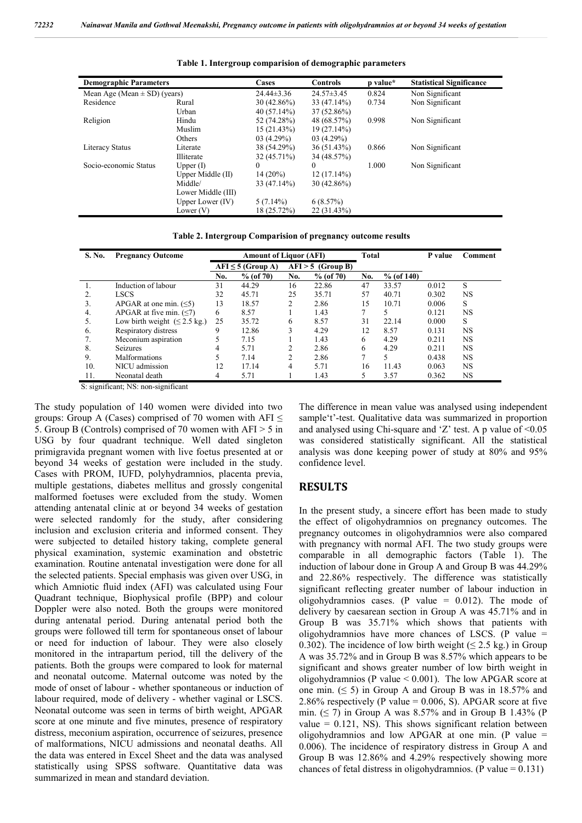| <b>Demographic Parameters</b>    |                    | Cases          | <b>Controls</b>  | p value* | <b>Statistical Significance</b> |  |
|----------------------------------|--------------------|----------------|------------------|----------|---------------------------------|--|
| Mean Age (Mean $\pm$ SD) (years) |                    | $24.44\pm3.36$ | $24.57 \pm 3.45$ | 0.824    | Non Significant                 |  |
| Residence                        | Rural              | 30(42.86%)     | $33(47.14\%)$    | 0.734    | Non Significant                 |  |
|                                  | Urban              | 40(57.14%)     | $37(52.86\%)$    |          |                                 |  |
| Religion                         | Hindu              | 52 (74.28%)    | 48 (68.57%)      | 0.998    | Non Significant                 |  |
|                                  | Muslim             | 15(21.43%)     | $19(27.14\%)$    |          |                                 |  |
|                                  | Others             | 03(4.29%)      | 03(4.29%)        |          |                                 |  |
| <b>Literacy Status</b>           | Literate           | 38 (54.29%)    | 36(51.43%)       | 0.866    | Non Significant                 |  |
|                                  | Illiterate         | $32(45.71\%)$  | 34 (48.57%)      |          |                                 |  |
| Socio-economic Status            | Upper $(I)$        | $\Omega$       | $\theta$         | 1.000    | Non Significant                 |  |
|                                  | Upper Middle (II)  | $14(20\%)$     | $12(17.14\%)$    |          |                                 |  |
|                                  | Middle/            | 33 (47.14%)    | $30(42.86\%)$    |          |                                 |  |
|                                  | Lower Middle (III) |                |                  |          |                                 |  |
|                                  | Upper Lower $(IV)$ | $5(7.14\%)$    | 6(8.57%)         |          |                                 |  |
|                                  | Lower $(V)$        | 18 (25.72%)    | 22(31.43%)       |          |                                 |  |
|                                  |                    |                |                  |          |                                 |  |

**Table 1. Intergroup comparision of demographic parameters**

**Table 2. Intergroup Comparision of pregnancy outcome results**

| S. No. | <b>Pregnancy Outcome</b>                   | <b>Amount of Liquor (AFI)</b> |           |                     |           | Total          |              | P value | Comment   |
|--------|--------------------------------------------|-------------------------------|-----------|---------------------|-----------|----------------|--------------|---------|-----------|
|        |                                            | $AFI \leq 5$ (Group A)        |           | $AFI > 5$ (Group B) |           |                |              |         |           |
|        |                                            | No.                           | % (of 70) | No.                 | % (of 70) | No.            | $%$ (of 140) |         |           |
|        | Induction of labour                        | 31                            | 44.29     | 16                  | 22.86     | 47             | 33.57        | 0.012   | S         |
|        | <b>LSCS</b>                                | 32                            | 45.71     | 25                  | 35.71     | 57             | 40.71        | 0.302   | NS        |
| 3.     | APGAR at one min. $(5)$                    | 13                            | 18.57     | $\overline{c}$      | 2.86      | 15             | 10.71        | 0.006   | S         |
| 4.     | APGAR at five min. $(\leq 7)$              | 6                             | 8.57      |                     | 1.43      | 7              |              | 0.121   | NS        |
| 5.     | Low birth weight $( \leq 2.5 \text{ kg.})$ | 25                            | 35.72     | 6                   | 8.57      | 31             | 22.14        | 0.000   | S         |
| 6.     | Respiratory distress                       | 9                             | 12.86     |                     | 4.29      | 12             | 8.57         | 0.131   | <b>NS</b> |
| 7.     | Meconium aspiration                        |                               | 7.15      |                     | 1.43      | 6              | 4.29         | 0.211   | NS        |
| 8.     | <b>Seizures</b>                            | 4                             | 5.71      | $\mathfrak{D}$      | 2.86      | 6              | 4.29         | 0.211   | NS        |
| 9.     | <b>Malformations</b>                       |                               | 7.14      | ↑                   | 2.86      | $\overline{7}$ |              | 0.438   | NS        |
| 10.    | NICU admission                             | 12                            | 17.14     | 4                   | 5.71      | 16             | 11.43        | 0.063   | NS        |
| 11.    | Neonatal death                             | 4                             | 5.71      |                     | 1.43      |                | 3.57         | 0.362   | NS        |

S: significant; NS: non-significant

The study population of 140 women were divided into two groups: Group A (Cases) comprised of 70 women with AFI  $\leq$ 5. Group B (Controls) comprised of 70 women with AFI > 5 in USG by four quadrant technique. Well dated singleton primigravida pregnant women with live foetus presented at or beyond 34 weeks of gestation were included in the study. Cases with PROM, IUFD, polyhydramnios, placenta previa, multiple gestations, diabetes mellitus and grossly congenital malformed foetuses were excluded from the study. Women attending antenatal clinic at or beyond 34 weeks of gestation were selected randomly for the study, after considering inclusion and exclusion criteria and informed consent. They were subjected to detailed history taking, complete general physical examination, systemic examination and obstetric examination. Routine antenatal investigation were done for all the selected patients. Special emphasis was given over USG, in which Amniotic fluid index (AFI) was calculated using Four Quadrant technique, Biophysical profile (BPP) and colour Doppler were also noted. Both the groups were monitored during antenatal period. During antenatal period both the groups were followed till term for spontaneous onset of labour or need for induction of labour. They were also closely monitored in the intrapartum period, till the delivery of the patients. Both the groups were compared to look for maternal and neonatal outcome. Maternal outcome was noted by the mode of onset of labour - whether spontaneous or induction of labour required, mode of delivery - whether vaginal or LSCS. Neonatal outcome was seen in terms of birth weight, APGAR score at one minute and five minutes, presence of respiratory distress, meconium aspiration, occurrence of seizures, presence of malformations, NICU admissions and neonatal deaths. All the data was entered in Excel Sheet and the data was analysed statistically using SPSS software. Quantitative data was summarized in mean and standard deviation.

The difference in mean value was analysed using independent sample't'-test. Qualitative data was summarized in proportion and analysed using Chi-square and  $Z'$  test. A p value of  $\leq 0.05$ was considered statistically significant. All the statistical analysis was done keeping power of study at 80% and 95% confidence level.

#### **RESULTS**

In the present study, a sincere effort has been made to study the effect of oligohydramnios on pregnancy outcomes. The pregnancy outcomes in oligohydramnios were also compared with pregnancy with normal AFI. The two study groups were comparable in all demographic factors (Table 1). The induction of labour done in Group A and Group B was 44.29% and 22.86% respectively. The difference was statistically significant reflecting greater number of labour induction in oligohydramnios cases. (P value  $= 0.012$ ). The mode of delivery by caesarean section in Group A was 45.71% and in Group B was 35.71% which shows that patients with oligohydramnios have more chances of LSCS. (P value = 0.302). The incidence of low birth weight ( $\leq$  2.5 kg.) in Group A was 35.72% and in Group B was 8.57% which appears to be significant and shows greater number of low birth weight in oligohydramnios (P value  $< 0.001$ ). The low APGAR score at one min.  $( \leq 5)$  in Group A and Group B was in 18.57% and 2.86% respectively (P value =  $0.006$ , S). APGAR score at five min. ( $\leq$  7) in Group A was 8.57% and in Group B 1.43% (P value  $= 0.121$ . NS). This shows significant relation between oligohydramnios and low APGAR at one min. (P value = 0.006). The incidence of respiratory distress in Group A and Group B was 12.86% and 4.29% respectively showing more chances of fetal distress in oligohydramnios. (P value  $= 0.131$ )